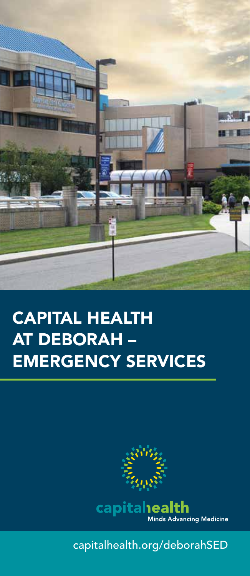

## **CAPITAL HEALTH AT DEBORAH -EMERGENCY SERVICES**



capitalhealth.org/deborahSED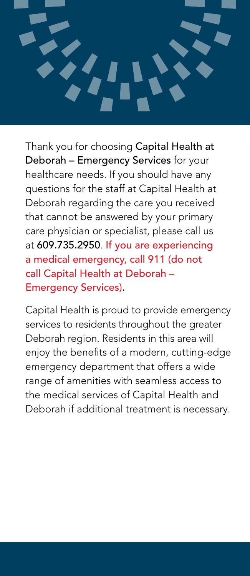

Thank you for choosing Capital Health at Deborah – Emergency Services for your healthcare needs. If you should have any questions for the staff at Capital Health at Deborah regarding the care you received that cannot be answered by your primary care physician or specialist, please call us at 609.735.2950. If you are experiencing a medical emergency, call 911 (do not call Capital Health at Deborah – Emergency Services).

Capital Health is proud to provide emergency services to residents throughout the greater Deborah region. Residents in this area will enjoy the benefits of a modern, cutting-edge emergency department that offers a wide range of amenities with seamless access to the medical services of Capital Health and Deborah if additional treatment is necessary.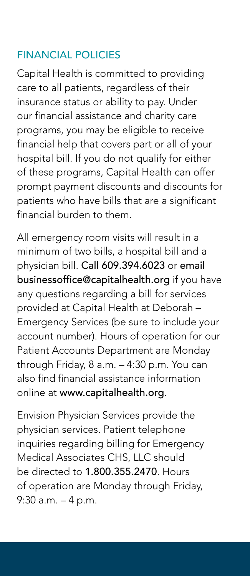## FINANCIAL POLICIES

Capital Health is committed to providing care to all patients, regardless of their insurance status or ability to pay. Under our financial assistance and charity care programs, you may be eligible to receive financial help that covers part or all of your hospital bill. If you do not qualify for either of these programs, Capital Health can offer prompt payment discounts and discounts for patients who have bills that are a significant financial burden to them.

All emergency room visits will result in a minimum of two bills, a hospital bill and a physician bill. Call 609.394.6023 or email businessoffice@capitalhealth.org if you have any questions regarding a bill for services provided at Capital Health at Deborah – Emergency Services (be sure to include your account number). Hours of operation for our Patient Accounts Department are Monday through Friday, 8 a.m. – 4:30 p.m. You can also find financial assistance information online at www.capitalhealth.org.

Envision Physician Services provide the physician services. Patient telephone inquiries regarding billing for Emergency Medical Associates CHS, LLC should be directed to 1.800.355.2470. Hours of operation are Monday through Friday, 9:30 a.m. – 4 p.m.